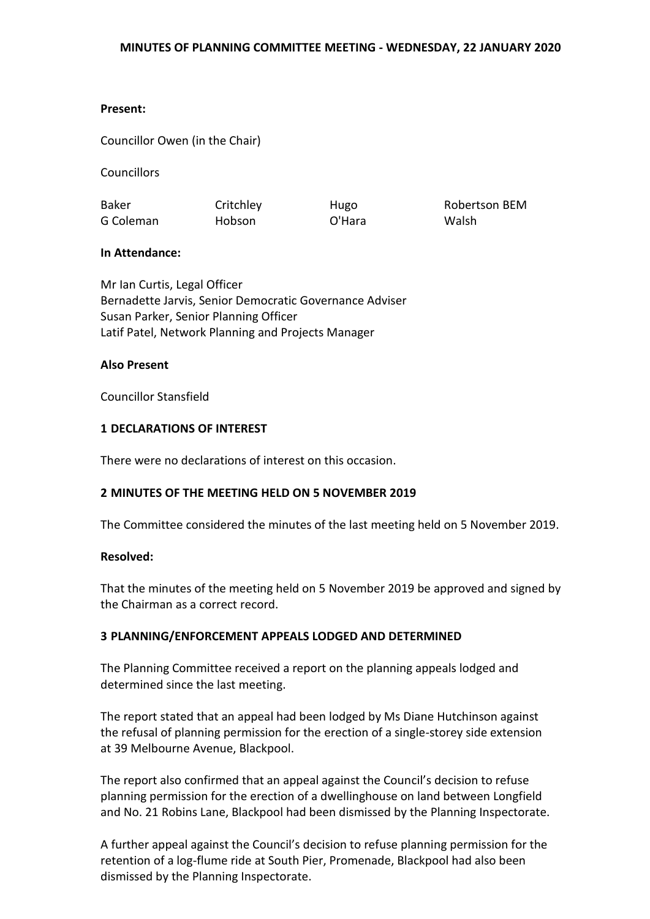#### **Present:**

Councillor Owen (in the Chair)

**Councillors** 

Baker G Coleman **Critchley** Hobson

Hugo O'Hara

Robertson BEM Walsh

### **In Attendance:**

Mr Ian Curtis, Legal Officer Bernadette Jarvis, Senior Democratic Governance Adviser Susan Parker, Senior Planning Officer Latif Patel, Network Planning and Projects Manager

#### **Also Present**

Councillor Stansfield

### **1 DECLARATIONS OF INTEREST**

There were no declarations of interest on this occasion.

### **2 MINUTES OF THE MEETING HELD ON 5 NOVEMBER 2019**

The Committee considered the minutes of the last meeting held on 5 November 2019.

### **Resolved:**

That the minutes of the meeting held on 5 November 2019 be approved and signed by the Chairman as a correct record.

### **3 PLANNING/ENFORCEMENT APPEALS LODGED AND DETERMINED**

The Planning Committee received a report on the planning appeals lodged and determined since the last meeting.

The report stated that an appeal had been lodged by Ms Diane Hutchinson against the refusal of planning permission for the erection of a single-storey side extension at 39 Melbourne Avenue, Blackpool.

The report also confirmed that an appeal against the Council's decision to refuse planning permission for the erection of a dwellinghouse on land between Longfield and No. 21 Robins Lane, Blackpool had been dismissed by the Planning Inspectorate.

A further appeal against the Council's decision to refuse planning permission for the retention of a log-flume ride at South Pier, Promenade, Blackpool had also been dismissed by the Planning Inspectorate.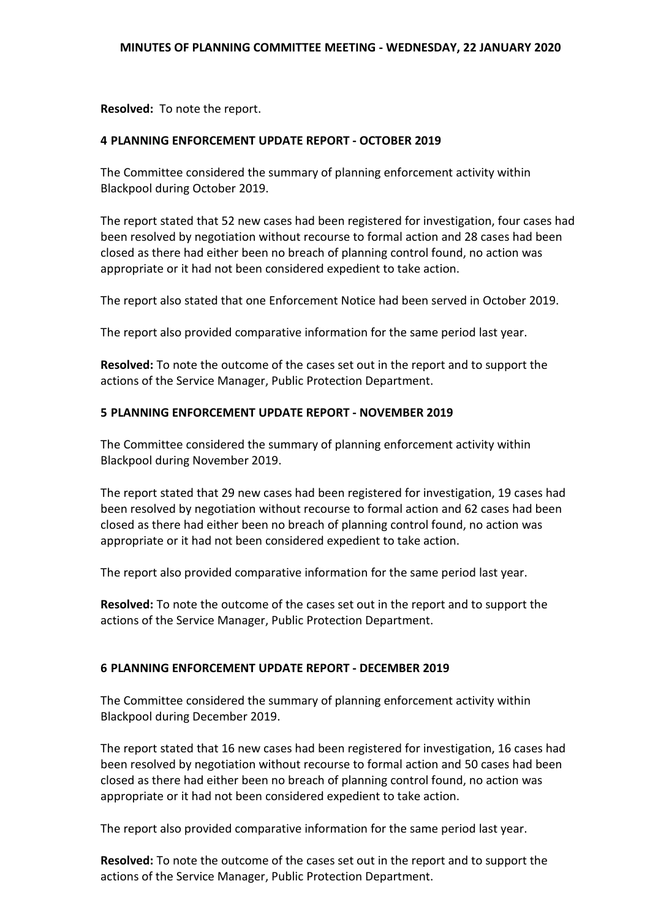**Resolved:** To note the report.

# **4 PLANNING ENFORCEMENT UPDATE REPORT - OCTOBER 2019**

The Committee considered the summary of planning enforcement activity within Blackpool during October 2019.

The report stated that 52 new cases had been registered for investigation, four cases had been resolved by negotiation without recourse to formal action and 28 cases had been closed as there had either been no breach of planning control found, no action was appropriate or it had not been considered expedient to take action.

The report also stated that one Enforcement Notice had been served in October 2019.

The report also provided comparative information for the same period last year.

**Resolved:** To note the outcome of the cases set out in the report and to support the actions of the Service Manager, Public Protection Department.

# **5 PLANNING ENFORCEMENT UPDATE REPORT - NOVEMBER 2019**

The Committee considered the summary of planning enforcement activity within Blackpool during November 2019.

The report stated that 29 new cases had been registered for investigation, 19 cases had been resolved by negotiation without recourse to formal action and 62 cases had been closed as there had either been no breach of planning control found, no action was appropriate or it had not been considered expedient to take action.

The report also provided comparative information for the same period last year.

**Resolved:** To note the outcome of the cases set out in the report and to support the actions of the Service Manager, Public Protection Department.

### **6 PLANNING ENFORCEMENT UPDATE REPORT - DECEMBER 2019**

The Committee considered the summary of planning enforcement activity within Blackpool during December 2019.

The report stated that 16 new cases had been registered for investigation, 16 cases had been resolved by negotiation without recourse to formal action and 50 cases had been closed as there had either been no breach of planning control found, no action was appropriate or it had not been considered expedient to take action.

The report also provided comparative information for the same period last year.

**Resolved:** To note the outcome of the cases set out in the report and to support the actions of the Service Manager, Public Protection Department.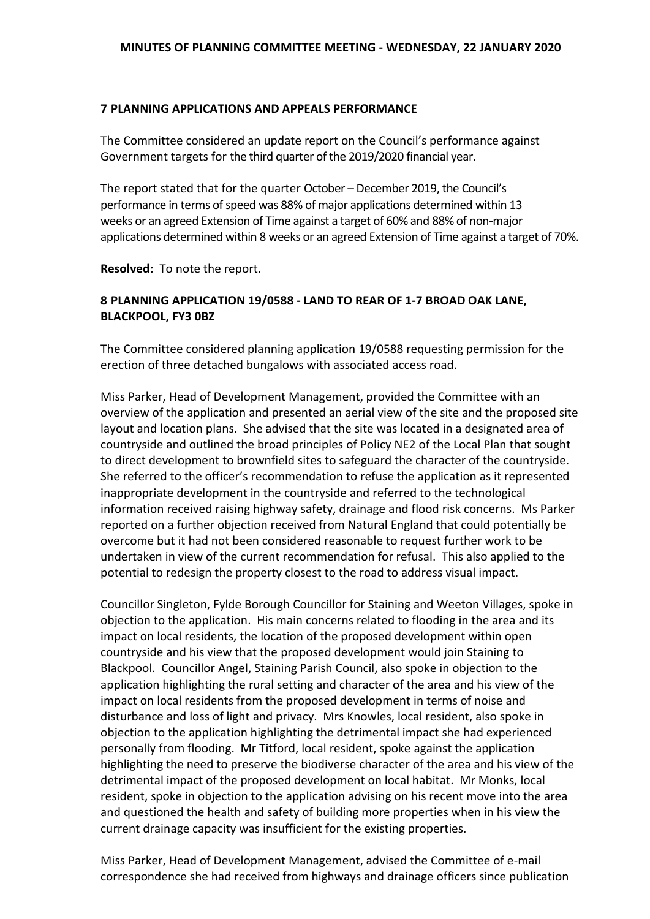### **7 PLANNING APPLICATIONS AND APPEALS PERFORMANCE**

The Committee considered an update report on the Council's performance against Government targets for the third quarter of the 2019/2020 financial year.

The report stated that for the quarter October – December 2019, the Council's performance in terms of speed was 88% of major applications determined within 13 weeks or an agreed Extension of Time against a target of 60% and 88% of non-major applications determined within 8 weeks or an agreed Extension of Time against a target of 70%.

**Resolved:** To note the report.

# **8 PLANNING APPLICATION 19/0588 - LAND TO REAR OF 1-7 BROAD OAK LANE, BLACKPOOL, FY3 0BZ**

The Committee considered planning application 19/0588 requesting permission for the erection of three detached bungalows with associated access road.

Miss Parker, Head of Development Management, provided the Committee with an overview of the application and presented an aerial view of the site and the proposed site layout and location plans. She advised that the site was located in a designated area of countryside and outlined the broad principles of Policy NE2 of the Local Plan that sought to direct development to brownfield sites to safeguard the character of the countryside. She referred to the officer's recommendation to refuse the application as it represented inappropriate development in the countryside and referred to the technological information received raising highway safety, drainage and flood risk concerns. Ms Parker reported on a further objection received from Natural England that could potentially be overcome but it had not been considered reasonable to request further work to be undertaken in view of the current recommendation for refusal. This also applied to the potential to redesign the property closest to the road to address visual impact.

Councillor Singleton, Fylde Borough Councillor for Staining and Weeton Villages, spoke in objection to the application. His main concerns related to flooding in the area and its impact on local residents, the location of the proposed development within open countryside and his view that the proposed development would join Staining to Blackpool. Councillor Angel, Staining Parish Council, also spoke in objection to the application highlighting the rural setting and character of the area and his view of the impact on local residents from the proposed development in terms of noise and disturbance and loss of light and privacy. Mrs Knowles, local resident, also spoke in objection to the application highlighting the detrimental impact she had experienced personally from flooding. Mr Titford, local resident, spoke against the application highlighting the need to preserve the biodiverse character of the area and his view of the detrimental impact of the proposed development on local habitat. Mr Monks, local resident, spoke in objection to the application advising on his recent move into the area and questioned the health and safety of building more properties when in his view the current drainage capacity was insufficient for the existing properties.

Miss Parker, Head of Development Management, advised the Committee of e-mail correspondence she had received from highways and drainage officers since publication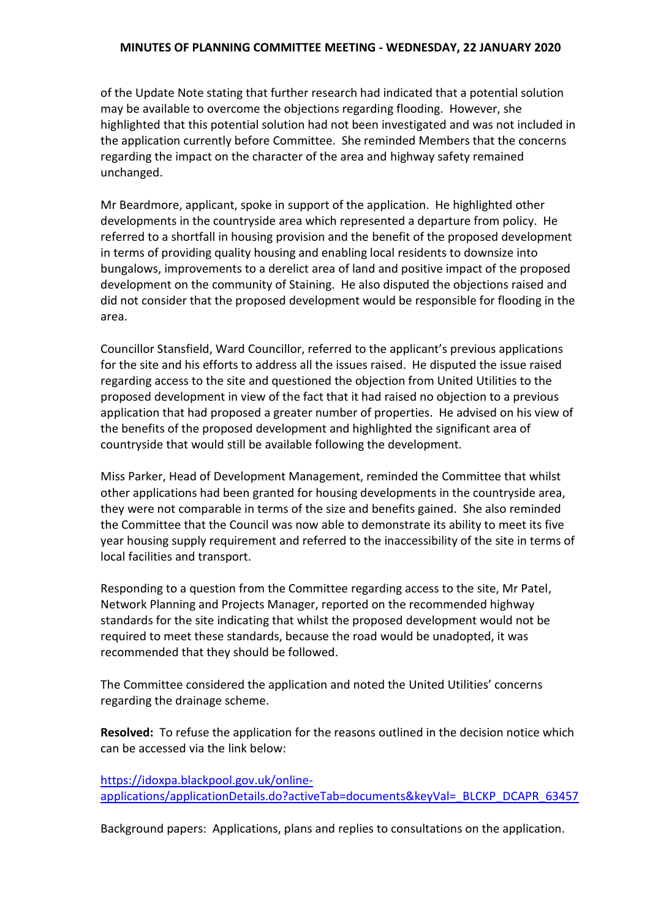#### **MINUTES OF PLANNING COMMITTEE MEETING - WEDNESDAY, 22 JANUARY 2020**

of the Update Note stating that further research had indicated that a potential solution may be available to overcome the objections regarding flooding. However, she highlighted that this potential solution had not been investigated and was not included in the application currently before Committee. She reminded Members that the concerns regarding the impact on the character of the area and highway safety remained unchanged.

Mr Beardmore, applicant, spoke in support of the application. He highlighted other developments in the countryside area which represented a departure from policy. He referred to a shortfall in housing provision and the benefit of the proposed development in terms of providing quality housing and enabling local residents to downsize into bungalows, improvements to a derelict area of land and positive impact of the proposed development on the community of Staining. He also disputed the objections raised and did not consider that the proposed development would be responsible for flooding in the area.

Councillor Stansfield, Ward Councillor, referred to the applicant's previous applications for the site and his efforts to address all the issues raised. He disputed the issue raised regarding access to the site and questioned the objection from United Utilities to the proposed development in view of the fact that it had raised no objection to a previous application that had proposed a greater number of properties. He advised on his view of the benefits of the proposed development and highlighted the significant area of countryside that would still be available following the development.

Miss Parker, Head of Development Management, reminded the Committee that whilst other applications had been granted for housing developments in the countryside area, they were not comparable in terms of the size and benefits gained. She also reminded the Committee that the Council was now able to demonstrate its ability to meet its five year housing supply requirement and referred to the inaccessibility of the site in terms of local facilities and transport.

Responding to a question from the Committee regarding access to the site, Mr Patel, Network Planning and Projects Manager, reported on the recommended highway standards for the site indicating that whilst the proposed development would not be required to meet these standards, because the road would be unadopted, it was recommended that they should be followed.

The Committee considered the application and noted the United Utilities' concerns regarding the drainage scheme.

**Resolved:** To refuse the application for the reasons outlined in the decision notice which can be accessed via the link below:

[https://idoxpa.blackpool.gov.uk/online](https://idoxpa.blackpool.gov.uk/online-applications/applicationDetails.do?activeTab=documents&keyVal=_BLCKP_DCAPR_63457)[applications/applicationDetails.do?activeTab=documents&keyVal=\\_BLCKP\\_DCAPR\\_63457](https://idoxpa.blackpool.gov.uk/online-applications/applicationDetails.do?activeTab=documents&keyVal=_BLCKP_DCAPR_63457)

Background papers: Applications, plans and replies to consultations on the application.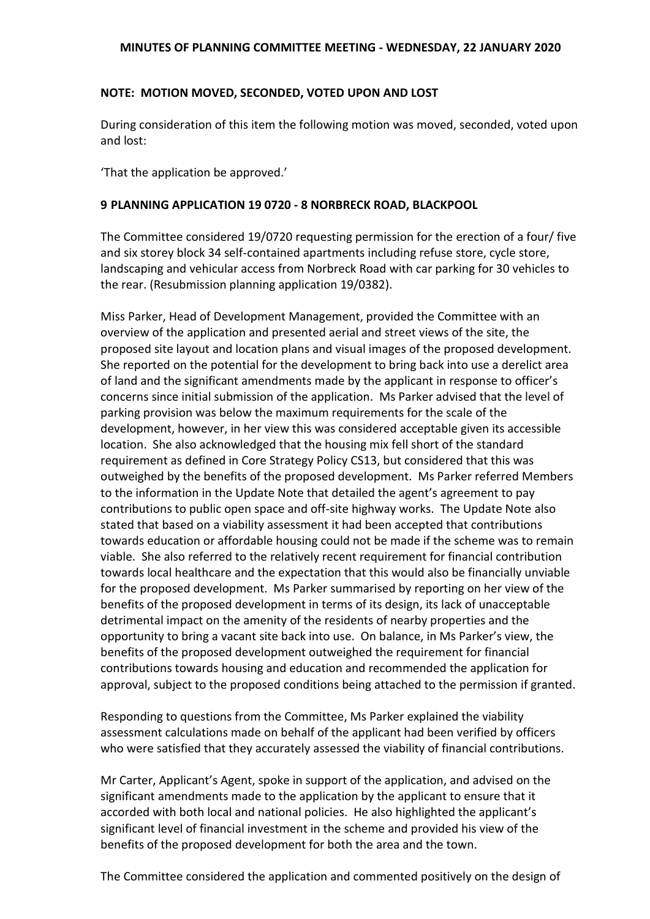#### **MINUTES OF PLANNING COMMITTEE MEETING - WEDNESDAY, 22 JANUARY 2020**

### **NOTE: MOTION MOVED, SECONDED, VOTED UPON AND LOST**

During consideration of this item the following motion was moved, seconded, voted upon and lost:

'That the application be approved.'

#### **9 PLANNING APPLICATION 19 0720 - 8 NORBRECK ROAD, BLACKPOOL**

The Committee considered 19/0720 requesting permission for the erection of a four/ five and six storey block 34 self-contained apartments including refuse store, cycle store, landscaping and vehicular access from Norbreck Road with car parking for 30 vehicles to the rear. (Resubmission planning application 19/0382).

Miss Parker, Head of Development Management, provided the Committee with an overview of the application and presented aerial and street views of the site, the proposed site layout and location plans and visual images of the proposed development. She reported on the potential for the development to bring back into use a derelict area of land and the significant amendments made by the applicant in response to officer's concerns since initial submission of the application. Ms Parker advised that the level of parking provision was below the maximum requirements for the scale of the development, however, in her view this was considered acceptable given its accessible location. She also acknowledged that the housing mix fell short of the standard requirement as defined in Core Strategy Policy CS13, but considered that this was outweighed by the benefits of the proposed development. Ms Parker referred Members to the information in the Update Note that detailed the agent's agreement to pay contributions to public open space and off-site highway works. The Update Note also stated that based on a viability assessment it had been accepted that contributions towards education or affordable housing could not be made if the scheme was to remain viable. She also referred to the relatively recent requirement for financial contribution towards local healthcare and the expectation that this would also be financially unviable for the proposed development. Ms Parker summarised by reporting on her view of the benefits of the proposed development in terms of its design, its lack of unacceptable detrimental impact on the amenity of the residents of nearby properties and the opportunity to bring a vacant site back into use. On balance, in Ms Parker's view, the benefits of the proposed development outweighed the requirement for financial contributions towards housing and education and recommended the application for approval, subject to the proposed conditions being attached to the permission if granted.

Responding to questions from the Committee, Ms Parker explained the viability assessment calculations made on behalf of the applicant had been verified by officers who were satisfied that they accurately assessed the viability of financial contributions.

Mr Carter, Applicant's Agent, spoke in support of the application, and advised on the significant amendments made to the application by the applicant to ensure that it accorded with both local and national policies. He also highlighted the applicant's significant level of financial investment in the scheme and provided his view of the benefits of the proposed development for both the area and the town.

The Committee considered the application and commented positively on the design of